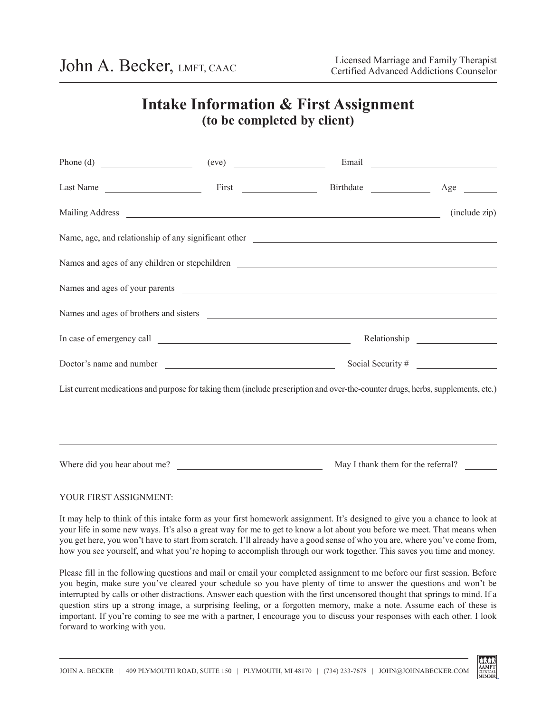# **Intake Information & First Assignment (to be completed by client)**

|                                                                                                                                  |                                                                                  | (include zip)                      |
|----------------------------------------------------------------------------------------------------------------------------------|----------------------------------------------------------------------------------|------------------------------------|
|                                                                                                                                  |                                                                                  |                                    |
|                                                                                                                                  |                                                                                  |                                    |
|                                                                                                                                  |                                                                                  |                                    |
| Names and ages of brothers and sisters <b>contained</b> and sixters <b>contained</b> and ages of brothers and sisters            |                                                                                  |                                    |
|                                                                                                                                  |                                                                                  |                                    |
|                                                                                                                                  |                                                                                  | Social Security $\#$               |
| List current medications and purpose for taking them (include prescription and over-the-counter drugs, herbs, supplements, etc.) |                                                                                  |                                    |
|                                                                                                                                  | ,我们也不会有什么。""我们的人,我们也不会有什么?""我们的人,我们也不会有什么?""我们的人,我们也不会有什么?""我们的人,我们也不会有什么?""我们的人 |                                    |
| Where did you hear about me?                                                                                                     |                                                                                  | May I thank them for the referral? |

## YOUR FIRST ASSIGNMENT:

It may help to think of this intake form as your first homework assignment. It's designed to give you a chance to look at your life in some new ways. It's also a great way for me to get to know a lot about you before we meet. That means when you get here, you won't have to start from scratch. I'll already have a good sense of who you are, where you've come from, how you see yourself, and what you're hoping to accomplish through our work together. This saves you time and money.

Please fill in the following questions and mail or email your completed assignment to me before our first session. Before you begin, make sure you've cleared your schedule so you have plenty of time to answer the questions and won't be interrupted by calls or other distractions. Answer each question with the first uncensored thought that springs to mind. If a question stirs up a strong image, a surprising feeling, or a forgotten memory, make a note. Assume each of these is important. If you're coming to see me with a partner, I encourage you to discuss your responses with each other. I look forward to working with you.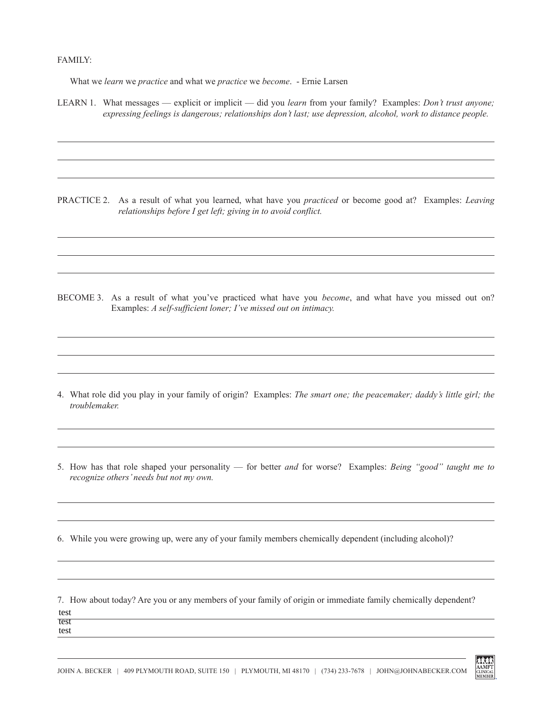## FAMILY:

What we *learn* we *practice* and what we *practice* we *become*. - Ernie Larsen

LEARN 1. What messages — explicit or implicit — did you *learn* from your family? Examples: *Don't trust anyone; expressing feelings is dangerous; relationships don't last; use depression, alcohol, work to distance people.*

PRACTICE 2. As a result of what you learned, what have you *practiced* or become good at? Examples: *Leaving relationships before I get left; giving in to avoid conflict.*

BECOME 3. As a result of what you've practiced what have you *become*, and what have you missed out on? Examples: *A self-sufficient loner; I've missed out on intimacy.*

- 4. What role did you play in your family of origin? Examples: *The smart one; the peacemaker; daddy's little girl; the troublemaker.*
- 5. How has that role shaped your personality for better *and* for worse? Examples: *Being "good" taught me to recognize others' needs but not my own.*
- 6. While you were growing up, were any of your family members chemically dependent (including alcohol)?

7. How about today? Are you or any members of your family of origin or immediate family chemically dependent? test test test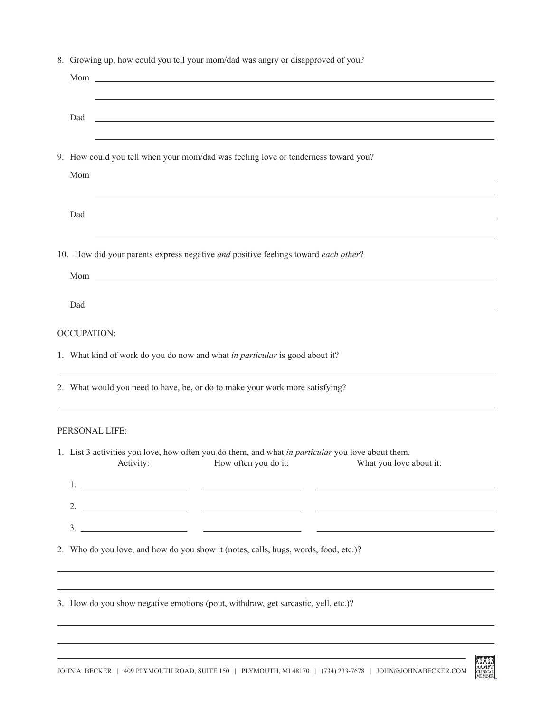|                    | 8. Growing up, how could you tell your mom/dad was angry or disapproved of you?                                                                                                                                                                                                                                                                                                                                                                                          |
|--------------------|--------------------------------------------------------------------------------------------------------------------------------------------------------------------------------------------------------------------------------------------------------------------------------------------------------------------------------------------------------------------------------------------------------------------------------------------------------------------------|
|                    |                                                                                                                                                                                                                                                                                                                                                                                                                                                                          |
| Dad                | <u> 1999 - Jan Barbara de Santo Alemania de Santo Alemánico de Santo Alemánico de Santo Alemánico de Santo Alemán</u>                                                                                                                                                                                                                                                                                                                                                    |
|                    | 9. How could you tell when your mom/dad was feeling love or tenderness toward you?                                                                                                                                                                                                                                                                                                                                                                                       |
| Dad                | <u> 1999 - Johann John Stone, mension berkenaar mengang pada tahun 1990 - Pada tahun 1990 - Pada tahun 1990 - Pada</u>                                                                                                                                                                                                                                                                                                                                                   |
|                    | 10. How did your parents express negative and positive feelings toward each other?                                                                                                                                                                                                                                                                                                                                                                                       |
| Dad                | <u> 1999 - Jan Alexander de Santa Galilea (h. 1989).</u>                                                                                                                                                                                                                                                                                                                                                                                                                 |
| <b>OCCUPATION:</b> |                                                                                                                                                                                                                                                                                                                                                                                                                                                                          |
|                    | 1. What kind of work do you do now and what in particular is good about it?                                                                                                                                                                                                                                                                                                                                                                                              |
|                    | 2. What would you need to have, be, or do to make your work more satisfying?                                                                                                                                                                                                                                                                                                                                                                                             |
|                    | PERSONAL LIFE:                                                                                                                                                                                                                                                                                                                                                                                                                                                           |
|                    | 1. List 3 activities you love, how often you do them, and what in particular you love about them.<br>Activity:<br>How often you do it:<br>What you love about it:                                                                                                                                                                                                                                                                                                        |
|                    | 2. $\overline{\phantom{a}}$ $\overline{\phantom{a}}$ $\overline{\phantom{a}}$ $\overline{\phantom{a}}$ $\overline{\phantom{a}}$ $\overline{\phantom{a}}$ $\overline{\phantom{a}}$ $\overline{\phantom{a}}$ $\overline{\phantom{a}}$ $\overline{\phantom{a}}$ $\overline{\phantom{a}}$ $\overline{\phantom{a}}$ $\overline{\phantom{a}}$ $\overline{\phantom{a}}$ $\overline{\phantom{a}}$ $\overline{\phantom{a}}$ $\overline{\phantom{a}}$ $\overline{\phantom{a}}$ $\$ |
|                    |                                                                                                                                                                                                                                                                                                                                                                                                                                                                          |
|                    | 2. Who do you love, and how do you show it (notes, calls, hugs, words, food, etc.)?                                                                                                                                                                                                                                                                                                                                                                                      |
|                    | ,我们也不会有什么。""我们的人,我们也不会有什么?""我们的人,我们也不会有什么?""我们的人,我们也不会有什么?""我们的人,我们也不会有什么?""我们的人                                                                                                                                                                                                                                                                                                                                                                                         |
|                    | 3. How do you show negative emotions (pout, withdraw, get sarcastic, yell, etc.)?                                                                                                                                                                                                                                                                                                                                                                                        |

AMIET<br>CLINICAL<br>MEMBER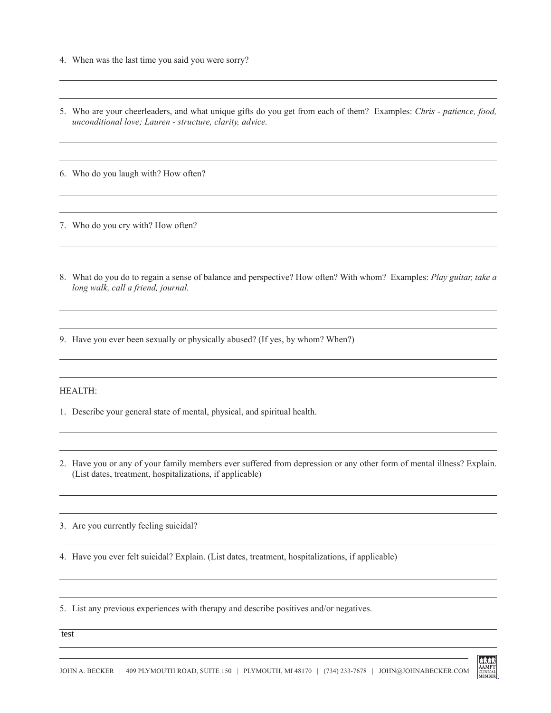- 4. When was the last time you said you were sorry?
- 5. Who are your cheerleaders, and what unique gifts do you get from each of them? Examples: *Chris patience, food, unconditional love; Lauren - structure, clarity, advice.*

6. Who do you laugh with? How often?

7. Who do you cry with? How often?

8. What do you do to regain a sense of balance and perspective? How often? With whom? Examples: *Play guitar, take a long walk, call a friend, journal.*

9. Have you ever been sexually or physically abused? (If yes, by whom? When?)

#### HEALTH:

- 1. Describe your general state of mental, physical, and spiritual health.
- 2. Have you or any of your family members ever suffered from depression or any other form of mental illness? Explain. (List dates, treatment, hospitalizations, if applicable)

3. Are you currently feeling suicidal?

4. Have you ever felt suicidal? Explain. (List dates, treatment, hospitalizations, if applicable)

5. List any previous experiences with therapy and describe positives and/or negatives.

test

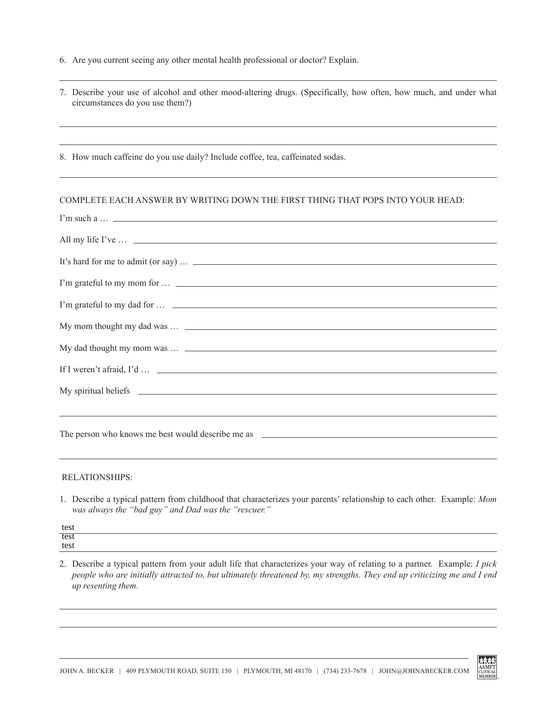6. Are you current seeing any other mental health professional or doctor? Explain.

| 7. Describe your use of alcohol and other mood-altering drugs. (Specifically, how often, how much, and under what |  |
|-------------------------------------------------------------------------------------------------------------------|--|
| circumstances do you use them?)                                                                                   |  |

8. How much caffeine do you use daily? Include coffee, tea, caffeinated sodas.

## COMPLETE EACH ANSWER BY WRITING DOWN THE FIRST THING THAT POPS INTO YOUR HEAD:

| I'm such a $\ldots$ $\ldots$ |
|------------------------------|
|                              |
|                              |
|                              |
|                              |
|                              |
|                              |
|                              |
|                              |
|                              |
|                              |
|                              |

#### RELATIONSHIPS:

1. Describe a typical pattern from childhood that characterizes your parents' relationship to each other. Example: *Mom was always the "bad guy" and Dad was the "rescuer."*

test test test

2. Describe a typical pattern from your adult life that characterizes your way of relating to a partner. Example: *I pick people who are initially attracted to, but ultimately threatened by, my strengths. They end up criticizing me and I end up resenting them.*